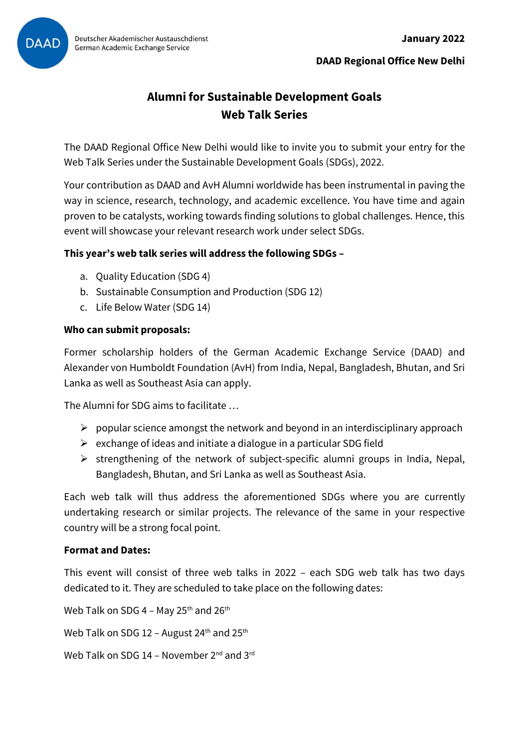

**DAAD Regional Office New Delhi**

# **Alumni for Sustainable Development Goals Web Talk Series**

The DAAD Regional Office New Delhi would like to invite you to submit your entry for the Web Talk Series under the Sustainable Development Goals (SDGs), 2022.

Your contribution as DAAD and AvH Alumni worldwide has been instrumental in paving the way in science, research, technology, and academic excellence. You have time and again proven to be catalysts, working towards finding solutions to global challenges. Hence, this event will showcase your relevant research work under select SDGs.

## **This year's web talk series will address the following SDGs –**

- a. Quality Education (SDG 4)
- b. Sustainable Consumption and Production (SDG 12)
- c. Life Below Water (SDG 14)

## **Who can submit proposals:**

Former scholarship holders of the German Academic Exchange Service (DAAD) and Alexander von Humboldt Foundation (AvH) from India, Nepal, Bangladesh, Bhutan, and Sri Lanka as well as Southeast Asia can apply.

The Alumni for SDG aims to facilitate …

- $\triangleright$  popular science amongst the network and beyond in an interdisciplinary approach
- $\triangleright$  exchange of ideas and initiate a dialogue in a particular SDG field
- ➢ strengthening of the network of subject-specific alumni groups in India, Nepal, Bangladesh, Bhutan, and Sri Lanka as well as Southeast Asia.

Each web talk will thus address the aforementioned SDGs where you are currently undertaking research or similar projects. The relevance of the same in your respective country will be a strong focal point.

### **Format and Dates:**

This event will consist of three web talks in 2022 – each SDG web talk has two days dedicated to it. They are scheduled to take place on the following dates:

Web Talk on SDG 4 – May 25<sup>th</sup> and 26<sup>th</sup>

Web Talk on SDG 12 - August 24<sup>th</sup> and 25<sup>th</sup>

Web Talk on SDG 14 - November 2<sup>nd</sup> and 3<sup>rd</sup>